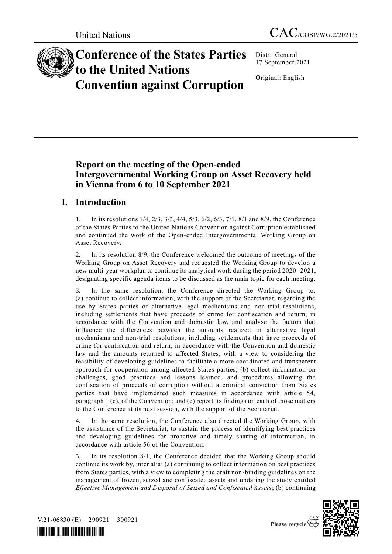

# **Conference of the States Parties to the United Nations Convention against Corruption**

Distr.: General 17 September 2021

Original: English

# **Report on the meeting of the Open-ended Intergovernmental Working Group on Asset Recovery held in Vienna from 6 to 10 September 2021**

# **I. Introduction**

1. In its resolutions 1/4, 2/3, 3/3, 4/4, 5/3, 6/2, 6/3, 7/1, 8/1 and 8/9, the Conference of the States Parties to the United Nations Convention against Corruption established and continued the work of the Open-ended Intergovernmental Working Group on Asset Recovery.

2. In its resolution 8/9, the Conference welcomed the outcome of meetings of the Working Group on Asset Recovery and requested the Working Group to develop a new multi-year workplan to continue its analytical work during the period 2020–2021, designating specific agenda items to be discussed as the main topic for each meeting.

In the same resolution, the Conference directed the Working Group to: (a) continue to collect information, with the support of the Secretariat, regarding the use by States parties of alternative legal mechanisms and non-trial resolutions, including settlements that have proceeds of crime for confiscation and return, in accordance with the Convention and domestic law, and analyse the factors that influence the differences between the amounts realized in alternative legal mechanisms and non-trial resolutions, including settlements that have proceeds of crime for confiscation and return, in accordance with the Convention and domestic law and the amounts returned to affected States, with a view to considering the feasibility of developing guidelines to facilitate a more coordinated and transparent approach for cooperation among affected States parties; (b) collect information on challenges, good practices and lessons learned, and procedures allowing the confiscation of proceeds of corruption without a criminal conviction from States parties that have implemented such measures in accordance with article 54, paragraph 1 (c), of the Convention; and (c) report its findings on each of those matters to the Conference at its next session, with the support of the Secretariat.

In the same resolution, the Conference also directed the Working Group, with the assistance of the Secretariat, to sustain the process of identifying best practices and developing guidelines for proactive and timely sharing of information, in accordance with article 56 of the Convention.

5. In its resolution 8/1, the Conference decided that the Working Group should continue its work by, inter alia: (a) continuing to collect information on best practices from States parties, with a view to completing the draft non-binding guidelines on the management of frozen, seized and confiscated assets and updating the study entitled *Effective Management and Disposal of Seized and Confiscated Assets*; (b) continuing



V.21-06830 (E) 290921 300921

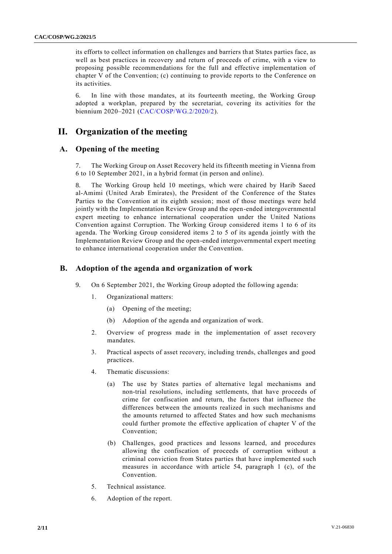its efforts to collect information on challenges and barriers that States parties face, as well as best practices in recovery and return of proceeds of crime, with a view to proposing possible recommendations for the full and effective implementation of chapter V of the Convention; (c) continuing to provide reports to the Conference on its activities.

6. In line with those mandates, at its fourteenth meeting, the Working Group adopted a workplan, prepared by the secretariat, covering its activities for the biennium 2020–2021 [\(CAC/COSP/WG.2/2020/2\)](https://www.unodc.org/documents/treaties/UNCAC/WorkingGroups/workinggroup2/2020-November-16-18/V2005258e.pdf).

## **II. Organization of the meeting**

#### **A. Opening of the meeting**

7. The Working Group on Asset Recovery held its fifteenth meeting in Vienna from 6 to 10 September 2021, in a hybrid format (in person and online).

8. The Working Group held 10 meetings, which were chaired by Harib Saeed al-Amimi (United Arab Emirates), the President of the Conference of the States Parties to the Convention at its eighth session; most of those meetings were held jointly with the Implementation Review Group and the open-ended intergovernmental expert meeting to enhance international cooperation under the United Nations Convention against Corruption. The Working Group considered items 1 to 6 of its agenda. The Working Group considered items 2 to 5 of its agenda jointly with the Implementation Review Group and the open-ended intergovernmental expert meeting to enhance international cooperation under the Convention.

#### **B. Adoption of the agenda and organization of work**

- 9. On 6 September 2021, the Working Group adopted the following agenda:
	- 1. Organizational matters:
		- (a) Opening of the meeting;
		- (b) Adoption of the agenda and organization of work.
	- 2. Overview of progress made in the implementation of asset recovery mandates.
	- 3. Practical aspects of asset recovery, including trends, challenges and good practices.
	- 4. Thematic discussions:
		- (a) The use by States parties of alternative legal mechanisms and non-trial resolutions, including settlements, that have proceeds of crime for confiscation and return, the factors that influence the differences between the amounts realized in such mechanisms and the amounts returned to affected States and how such mechanisms could further promote the effective application of chapter V of the Convention;
		- (b) Challenges, good practices and lessons learned, and procedures allowing the confiscation of proceeds of corruption without a criminal conviction from States parties that have implemented such measures in accordance with article 54, paragraph 1 (c), of the Convention.
	- 5. Technical assistance.
	- 6. Adoption of the report.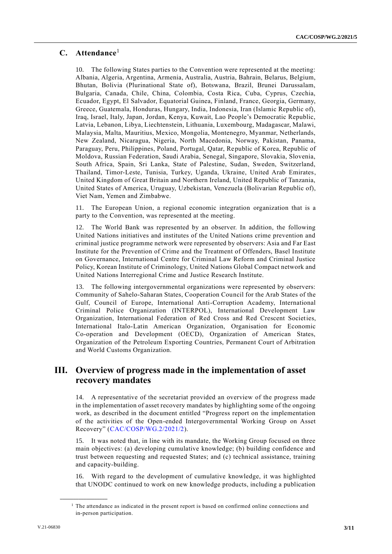#### **C. Attendance**<sup>1</sup>

10. The following States parties to the Convention were represented at the meeting: Albania, Algeria, Argentina, Armenia, Australia, Austria, Bahrain, Belarus, Belgium, Bhutan, Bolivia (Plurinational State of), Botswana, Brazil, Brunei Darussalam, Bulgaria, Canada, Chile, China, Colombia, Costa Rica, Cuba, Cyprus, Czechia, Ecuador, Egypt, El Salvador, Equatorial Guinea, Finland, France, Georgia, Germany, Greece, Guatemala, Honduras, Hungary, India, Indonesia, Iran (Islamic Republic of), Iraq, Israel, Italy, Japan, Jordan, Kenya, Kuwait, Lao People's Democratic Republic, Latvia, Lebanon, Libya, Liechtenstein, Lithuania, Luxembourg, Madagascar, Malawi, Malaysia, Malta, Mauritius, Mexico, Mongolia, Montenegro, Myanmar, Netherlands, New Zealand, Nicaragua, Nigeria, North Macedonia, Norway, Pakistan, Panama, Paraguay, Peru, Philippines, Poland, Portugal, Qatar, Republic of Korea, Republic of Moldova, Russian Federation, Saudi Arabia, Senegal, Singapore, Slovakia, Slovenia, South Africa, Spain, Sri Lanka, State of Palestine, Sudan, Sweden, Switzerland, Thailand, Timor-Leste, Tunisia, Turkey, Uganda, Ukraine, United Arab Emirates, United Kingdom of Great Britain and Northern Ireland, United Republic of Tanzania, United States of America, Uruguay, Uzbekistan, Venezuela (Bolivarian Republic of), Viet Nam, Yemen and Zimbabwe.

11. The European Union, a regional economic integration organization that is a party to the Convention, was represented at the meeting.

12. The World Bank was represented by an observer. In addition, the following United Nations initiatives and institutes of the United Nations crime prevention and criminal justice programme network were represented by observers: Asia and Far East Institute for the Prevention of Crime and the Treatment of Offenders, Basel Institute on Governance, International Centre for Criminal Law Reform and Criminal Justice Policy, Korean Institute of Criminology, United Nations Global Compact network and United Nations Interregional Crime and Justice Research Institute.

13. The following intergovernmental organizations were represented by observers: Community of Sahelo-Saharan States, Cooperation Council for the Arab States of the Gulf, Council of Europe, International Anti-Corruption Academy, International Criminal Police Organization (INTERPOL), International Development Law Organization, International Federation of Red Cross and Red Crescent Societies, International Italo-Latin American Organization, Organisation for Economic Co-operation and Development (OECD), Organization of American States, Organization of the Petroleum Exporting Countries, Permanent Court of Arbitration and World Customs Organization.

## **III. Overview of progress made in the implementation of asset recovery mandates**

14. A representative of the secretariat provided an overview of the progress made in the implementation of asset recovery mandates by highlighting some of the ongoing work, as described in the document entitled "Progress report on the implementation of the activities of the Open-ended Intergovernmental Working Group on Asset Recovery" [\(CAC/COSP/WG.2/2021/2\)](http://undocs.org/CAC/COSP/WG.2/2021/2).

15. It was noted that, in line with its mandate, the Working Group focused on three main objectives: (a) developing cumulative knowledge; (b) building confidence and trust between requesting and requested States; and (c) technical assistance, training and capacity-building.

16. With regard to the development of cumulative knowledge, it was highlighted that UNODC continued to work on new knowledge products, including a publication

**\_\_\_\_\_\_\_\_\_\_\_\_\_\_\_\_\_\_**

<sup>1</sup> The attendance as indicated in the present report is based on confirmed online connections and in-person participation.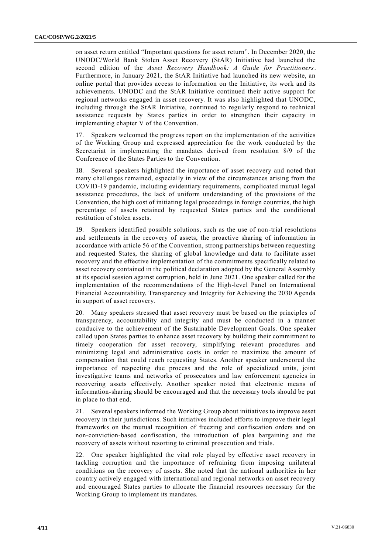on asset return entitled "Important questions for asset return". In December 2020, the UNODC/World Bank Stolen Asset Recovery (StAR) Initiative had launched the second edition of the *Asset Recovery Handbook: A Guide for Practitioners*. Furthermore, in January 2021, the StAR Initiative had launched its new website, an online portal that provides access to information on the Initiative, its work and its achievements. UNODC and the StAR Initiative continued their active support for regional networks engaged in asset recovery. It was also highlighted that UNODC, including through the StAR Initiative, continued to regularly respond to technical assistance requests by States parties in order to strengthen their capacity in implementing chapter V of the Convention.

17. Speakers welcomed the progress report on the implementation of the activities of the Working Group and expressed appreciation for the work conducted by the Secretariat in implementing the mandates derived from resolution 8/9 of the Conference of the States Parties to the Convention.

18. Several speakers highlighted the importance of asset recovery and noted that many challenges remained, especially in view of the circumstances arising from the COVID-19 pandemic, including evidentiary requirements, complicated mutual legal assistance procedures, the lack of uniform understanding of the provisions of the Convention, the high cost of initiating legal proceedings in foreign countries, the high percentage of assets retained by requested States parties and the conditional restitution of stolen assets.

19. Speakers identified possible solutions, such as the use of non-trial resolutions and settlements in the recovery of assets, the proactive sharing of information in accordance with article 56 of the Convention, strong partnerships between requesting and requested States, the sharing of global knowledge and data to facilitate asset recovery and the effective implementation of the commitments specifically related to asset recovery contained in the political declaration adopted by the General Assembly at its special session against corruption, held in June 2021. One speaker called for the implementation of the recommendations of the High-level Panel on International Financial Accountability, Transparency and Integrity for Achieving the 2030 Agenda in support of asset recovery.

20. Many speakers stressed that asset recovery must be based on the principles of transparency, accountability and integrity and must be conducted in a manner conducive to the achievement of the Sustainable Development Goals. One speake r called upon States parties to enhance asset recovery by building their commitment to timely cooperation for asset recovery, simplifying relevant procedures and minimizing legal and administrative costs in order to maximize the amount of compensation that could reach requesting States. Another speaker underscored the importance of respecting due process and the role of specialized units, joint investigative teams and networks of prosecutors and law enforcement agencies in recovering assets effectively. Another speaker noted that electronic means of information-sharing should be encouraged and that the necessary tools should be put in place to that end.

21. Several speakers informed the Working Group about initiatives to improve asset recovery in their jurisdictions. Such initiatives included efforts to improve their legal frameworks on the mutual recognition of freezing and confiscation orders and on non-conviction-based confiscation, the introduction of plea bargaining and the recovery of assets without resorting to criminal prosecution and trials.

22. One speaker highlighted the vital role played by effective asset recovery in tackling corruption and the importance of refraining from imposing unilateral conditions on the recovery of assets. She noted that the national authorities in her country actively engaged with international and regional networks on asset recovery and encouraged States parties to allocate the financial resources necessary for the Working Group to implement its mandates.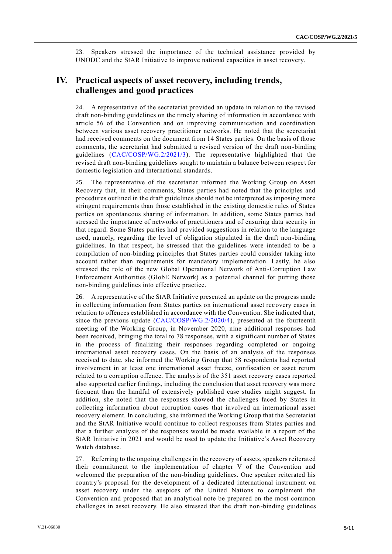23. Speakers stressed the importance of the technical assistance provided by UNODC and the StAR Initiative to improve national capacities in asset recovery.

### **IV. Practical aspects of asset recovery, including trends, challenges and good practices**

24. A representative of the secretariat provided an update in relation to the revised draft non-binding guidelines on the timely sharing of information in accordance with article 56 of the Convention and on improving communication and coordination between various asset recovery practitioner networks. He noted that the secretariat had received comments on the document from 14 States parties. On the basis of those comments, the secretariat had submitted a revised version of the draft non -binding guidelines [\(CAC/COSP/WG.2/2021/3\)](https://www.unodc.org/documents/treaties/UNCAC/WorkingGroups/workinggroup2/2021-September-6-10/CAC-COSP-WG.2-2021-3/V2104825_E.pdf). The representative highlighted that the revised draft non-binding guidelines sought to maintain a balance between respect for domestic legislation and international standards.

25. The representative of the secretariat informed the Working Group on Asset Recovery that, in their comments, States parties had noted that the principles and procedures outlined in the draft guidelines should not be interpreted as imposing more stringent requirements than those established in the existing domestic rules of States parties on spontaneous sharing of information. In addition, some States parties had stressed the importance of networks of practitioners and of ensuring data security in that regard. Some States parties had provided suggestions in relation to the language used, namely, regarding the level of obligation stipulated in the draft non-binding guidelines. In that respect, he stressed that the guidelines were intended to be a compilation of non-binding principles that States parties could consider taking into account rather than requirements for mandatory implementation. Lastly, he also stressed the role of the new Global Operational Network of Anti-Corruption Law Enforcement Authorities (GlobE Network) as a potential channel for putting those non-binding guidelines into effective practice.

26. A representative of the StAR Initiative presented an update on the progress made in collecting information from States parties on international asset recovery cases in relation to offences established in accordance with the Convention. She indicated that, since the previous update [\(CAC/COSP/WG.2/2020/4\)](http://undocs.org/CAC/COSP/WG.2/2020/4), presented at the fourteenth meeting of the Working Group, in November 2020, nine additional responses had been received, bringing the total to 78 responses, with a significant number of States in the process of finalizing their responses regarding completed or ongoing international asset recovery cases. On the basis of an analysis of the responses received to date, she informed the Working Group that 58 respondents had reported involvement in at least one international asset freeze, confiscation or asset return related to a corruption offence. The analysis of the 351 asset recovery cases reported also supported earlier findings, including the conclusion that asset recovery was more frequent than the handful of extensively published case studies might suggest. In addition, she noted that the responses showed the challenges faced by States in collecting information about corruption cases that involved an international asset recovery element. In concluding, she informed the Working Group that the Secretariat and the StAR Initiative would continue to collect responses from States parties and that a further analysis of the responses would be made available in a report of the StAR Initiative in 2021 and would be used to update the Initiative's Asset Recovery Watch database.

27. Referring to the ongoing challenges in the recovery of assets, speakers reiterated their commitment to the implementation of chapter V of the Convention and welcomed the preparation of the non-binding guidelines. One speaker reiterated his country's proposal for the development of a dedicated international instrument on asset recovery under the auspices of the United Nations to complement the Convention and proposed that an analytical note be prepared on the most common challenges in asset recovery. He also stressed that the draft non-binding guidelines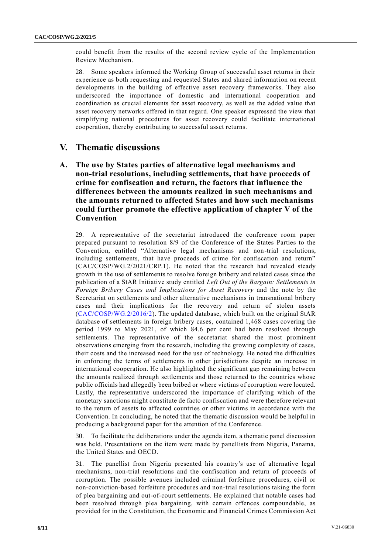could benefit from the results of the second review cycle of the Implementation Review Mechanism.

28. Some speakers informed the Working Group of successful asset returns in their experience as both requesting and requested States and shared information on recent developments in the building of effective asset recovery frameworks. They also underscored the importance of domestic and international cooperation and coordination as crucial elements for asset recovery, as well as the added value that asset recovery networks offered in that regard. One speaker expressed the view that simplifying national procedures for asset recovery could facilitate international cooperation, thereby contributing to successful asset returns.

#### **V. Thematic discussions**

**A. The use by States parties of alternative legal mechanisms and non-trial resolutions, including settlements, that have proceeds of crime for confiscation and return, the factors that influence the differences between the amounts realized in such mechanisms and the amounts returned to affected States and how such mechanisms could further promote the effective application of chapter V of the Convention**

29. A representative of the secretariat introduced the conference room paper prepared pursuant to resolution 8/9 of the Conference of the States Parties to the Convention, entitled "Alternative legal mechanisms and non-trial resolutions, including settlements, that have proceeds of crime for confiscation and return" (CAC/COSP/WG.2/2021/CRP.1). He noted that the research had revealed steady growth in the use of settlements to resolve foreign bribery and related cases since the publication of a StAR Initiative study entitled *Left Out of the Bargain: Settlements in Foreign Bribery Cases and Implications for Asset Recovery* and the note by the Secretariat on settlements and other alternative mechanisms in transnational bribery cases and their implications for the recovery and return of stolen assets [\(CAC/COSP/WG.2/2016/2\)](http://undocs.org/CAC/COSP/WG.2/2016/2). The updated database, which built on the original StAR database of settlements in foreign bribery cases, contained 1,468 cases covering the period 1999 to May 2021, of which 84.6 per cent had been resolved through settlements. The representative of the secretariat shared the most prominent observations emerging from the research, including the growing complexity of cases, their costs and the increased need for the use of technology. He noted the difficulties in enforcing the terms of settlements in other jurisdictions despite an increase in international cooperation. He also highlighted the significant gap remaining between the amounts realized through settlements and those returned to the countries whose public officials had allegedly been bribed or where victims of corruption were located. Lastly, the representative underscored the importance of clarifying which of the monetary sanctions might constitute de facto confiscation and were therefore relevant to the return of assets to affected countries or other victims in accordance with the Convention. In concluding, he noted that the thematic discussion would be helpful in producing a background paper for the attention of the Conference.

30. To facilitate the deliberations under the agenda item, a thematic panel discussion was held. Presentations on the item were made by panellists from Nigeria, Panama, the United States and OECD.

31. The panellist from Nigeria presented his country's use of alternative legal mechanisms, non-trial resolutions and the confiscation and return of proceeds of corruption. The possible avenues included criminal forfeiture procedures, civil or non-conviction-based forfeiture procedures and non-trial resolutions taking the form of plea bargaining and out-of-court settlements. He explained that notable cases had been resolved through plea bargaining, with certain offences compoundable, as provided for in the Constitution, the Economic and Financial Crimes Commission Act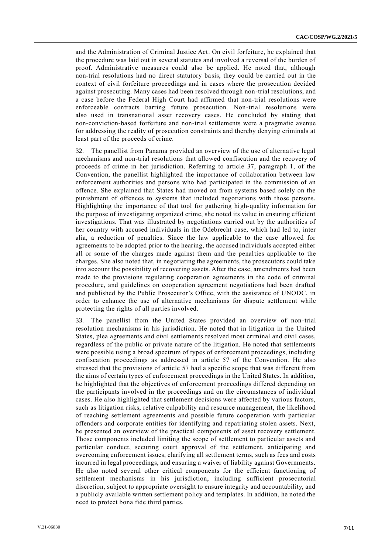and the Administration of Criminal Justice Act. On civil forfeiture, he explained that the procedure was laid out in several statutes and involved a reversal of the burden of proof. Administrative measures could also be applied. He noted that, although non-trial resolutions had no direct statutory basis, they could be carried out in the context of civil forfeiture proceedings and in cases where the prosecution decided against prosecuting. Many cases had been resolved through non-trial resolutions, and a case before the Federal High Court had affirmed that non-trial resolutions were enforceable contracts barring future prosecution. Non-trial resolutions were also used in transnational asset recovery cases. He concluded by stating that non-conviction-based forfeiture and non-trial settlements were a pragmatic avenue for addressing the reality of prosecution constraints and thereby denying criminals at least part of the proceeds of crime.

32. The panellist from Panama provided an overview of the use of alternative legal mechanisms and non-trial resolutions that allowed confiscation and the recovery of proceeds of crime in her jurisdiction. Referring to article 37, paragraph 1, of the Convention, the panellist highlighted the importance of collaboration between law enforcement authorities and persons who had participated in the commission of an offence. She explained that States had moved on from systems based solely on the punishment of offences to systems that included negotiations with those persons. Highlighting the importance of that tool for gathering high-quality information for the purpose of investigating organized crime, she noted its value in ensuring efficient investigations. That was illustrated by negotiations carried out by the authorities of her country with accused individuals in the Odebrecht case, which had led to, inter alia, a reduction of penalties. Since the law applicable to the case allowed for agreements to be adopted prior to the hearing, the accused individuals accepted either all or some of the charges made against them and the penalties applicable to the charges. She also noted that, in negotiating the agreements, the prosecutors could take into account the possibility of recovering assets. After the case, amendments had been made to the provisions regulating cooperation agreements in the code of criminal procedure, and guidelines on cooperation agreement negotiations had been drafted and published by the Public Prosecutor's Office, with the assistance of UNODC, in order to enhance the use of alternative mechanisms for dispute settlement while protecting the rights of all parties involved.

33. The panellist from the United States provided an overview of non-trial resolution mechanisms in his jurisdiction. He noted that in litigation in the United States, plea agreements and civil settlements resolved most criminal and civil cases, regardless of the public or private nature of the litigation. He noted that settlements were possible using a broad spectrum of types of enforcement proceedings, including confiscation proceedings as addressed in article 57 of the Convention. He also stressed that the provisions of article 57 had a specific scope that was different from the aims of certain types of enforcement proceedings in the United States. In addition, he highlighted that the objectives of enforcement proceedings differed depending on the participants involved in the proceedings and on the circumstances of individual cases. He also highlighted that settlement decisions were affected by various factors, such as litigation risks, relative culpability and resource management, the likelihood of reaching settlement agreements and possible future cooperation with particular offenders and corporate entities for identifying and repatriating stolen assets. Next, he presented an overview of the practical components of asset recovery settlement. Those components included limiting the scope of settlement to particular assets and particular conduct, securing court approval of the settlement, anticipating and overcoming enforcement issues, clarifying all settlement terms, such as fees and costs incurred in legal proceedings, and ensuring a waiver of liability against Governments. He also noted several other critical components for the efficient functioning of settlement mechanisms in his jurisdiction, including sufficient prosecutorial discretion, subject to appropriate oversight to ensure integrity and accountability, and a publicly available written settlement policy and templates. In addition, he noted the need to protect bona fide third parties.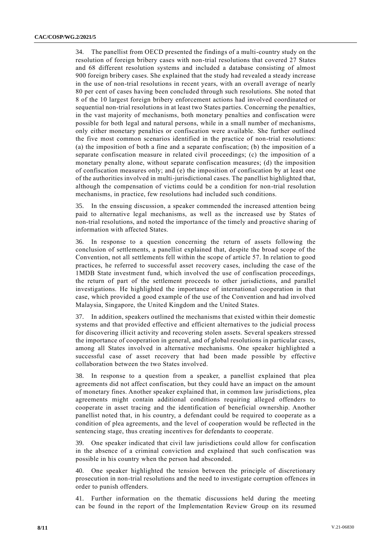34. The panellist from OECD presented the findings of a multi-country study on the resolution of foreign bribery cases with non-trial resolutions that covered 27 States and 68 different resolution systems and included a database consisting of almost 900 foreign bribery cases. She explained that the study had revealed a steady increase in the use of non-trial resolutions in recent years, with an overall average of nearly 80 per cent of cases having been concluded through such resolutions. She noted that 8 of the 10 largest foreign bribery enforcement actions had involved coordinated or sequential non-trial resolutions in at least two States parties. Concerning the penalties, in the vast majority of mechanisms, both monetary penalties and confiscation were possible for both legal and natural persons, while in a small number of mechanisms, only either monetary penalties or confiscation were available. She further outlined the five most common scenarios identified in the practice of non-trial resolutions: (a) the imposition of both a fine and a separate confiscation; (b) the imposition of a separate confiscation measure in related civil proceedings; (c) the imposition of a monetary penalty alone, without separate confiscation measures; (d) the imposition of confiscation measures only; and (e) the imposition of confiscation by at least one of the authorities involved in multi-jurisdictional cases. The panellist highlighted that, although the compensation of victims could be a condition for non-trial resolution mechanisms, in practice, few resolutions had included such conditions.

35. In the ensuing discussion, a speaker commended the increased attention being paid to alternative legal mechanisms, as well as the increased use by States of non-trial resolutions, and noted the importance of the timely and proactive sharing of information with affected States.

36. In response to a question concerning the return of assets following the conclusion of settlements, a panellist explained that, despite the broad scope of the Convention, not all settlements fell within the scope of article 57. In relation to good practices, he referred to successful asset recovery cases, including the case of the 1MDB State investment fund, which involved the use of confiscation proceedings, the return of part of the settlement proceeds to other jurisdictions, and parallel investigations. He highlighted the importance of international cooperation in that case, which provided a good example of the use of the Convention and had involved Malaysia, Singapore, the United Kingdom and the United States.

37. In addition, speakers outlined the mechanisms that existed within their domestic systems and that provided effective and efficient alternatives to the judicial process for discovering illicit activity and recovering stolen assets. Several speakers stressed the importance of cooperation in general, and of global resolutions in particular cases, among all States involved in alternative mechanisms. One speaker highlighted a successful case of asset recovery that had been made possible by effective collaboration between the two States involved.

38. In response to a question from a speaker, a panellist explained that plea agreements did not affect confiscation, but they could have an impact on the amount of monetary fines. Another speaker explained that, in common law jurisdictions, plea agreements might contain additional conditions requiring alleged offenders to cooperate in asset tracing and the identification of beneficial ownership. Another panellist noted that, in his country, a defendant could be required to cooperate as a condition of plea agreements, and the level of cooperation would be reflected in the sentencing stage, thus creating incentives for defendants to cooperate.

39. One speaker indicated that civil law jurisdictions could allow for confiscation in the absence of a criminal conviction and explained that such confiscation was possible in his country when the person had absconded.

40. One speaker highlighted the tension between the principle of discretionary prosecution in non-trial resolutions and the need to investigate corruption offences in order to punish offenders.

41. Further information on the thematic discussions held during the meeting can be found in the report of the Implementation Review Group on its resumed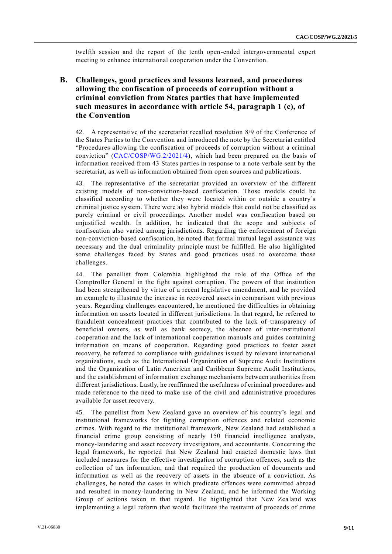twelfth session and the report of the tenth open-ended intergovernmental expert meeting to enhance international cooperation under the Convention.

#### **B. Challenges, good practices and lessons learned, and procedures allowing the confiscation of proceeds of corruption without a criminal conviction from States parties that have implemented such measures in accordance with article 54, paragraph 1 (c), of the Convention**

42. A representative of the secretariat recalled resolution 8/9 of the Conference of the States Parties to the Convention and introduced the note by the Secretariat entitled "Procedures allowing the confiscation of proceeds of corruption without a criminal conviction" [\(CAC/COSP/WG.2/2021/4\)](http://undocs.org/CAC/COSP/WG.2/2021/4), which had been prepared on the basis of information received from 43 States parties in response to a note verbale sent by the secretariat, as well as information obtained from open sources and publications.

43. The representative of the secretariat provided an overview of the different existing models of non-conviction-based confiscation. Those models could be classified according to whether they were located within or outside a country's criminal justice system. There were also hybrid models that could not be classified as purely criminal or civil proceedings. Another model was confiscation based on unjustified wealth. In addition, he indicated that the scope and subjects of confiscation also varied among jurisdictions. Regarding the enforcement of for eign non-conviction-based confiscation, he noted that formal mutual legal assistance was necessary and the dual criminality principle must be fulfilled. He also highlighted some challenges faced by States and good practices used to overcome those challenges.

44. The panellist from Colombia highlighted the role of the Office of the Comptroller General in the fight against corruption. The powers of that institution had been strengthened by virtue of a recent legislative amendment, and he provided an example to illustrate the increase in recovered assets in comparison with previous years. Regarding challenges encountered, he mentioned the difficulties in obtaining information on assets located in different jurisdictions. In that regard, he referred to fraudulent concealment practices that contributed to the lack of transparency of beneficial owners, as well as bank secrecy, the absence of inter-institutional cooperation and the lack of international cooperation manuals and guides containing information on means of cooperation. Regarding good practices to foster asset recovery, he referred to compliance with guidelines issued by relevant international organizations, such as the International Organization of Supreme Audit Institutions and the Organization of Latin American and Caribbean Supreme Audit Institutions, and the establishment of information exchange mechanisms between authorities from different jurisdictions. Lastly, he reaffirmed the usefulness of criminal procedures and made reference to the need to make use of the civil and administrative procedures available for asset recovery.

45. The panellist from New Zealand gave an overview of his country's legal and institutional frameworks for fighting corruption offences and related economic crimes. With regard to the institutional framework, New Zealand had established a financial crime group consisting of nearly 150 financial intelligence analysts, money-laundering and asset recovery investigators, and accountants. Concerning the legal framework, he reported that New Zealand had enacted domestic laws that included measures for the effective investigation of corruption offences, such as the collection of tax information, and that required the production of documents and information as well as the recovery of assets in the absence of a conviction. As challenges, he noted the cases in which predicate offences were committed abroad and resulted in money-laundering in New Zealand, and he informed the Working Group of actions taken in that regard. He highlighted that New Zea land was implementing a legal reform that would facilitate the restraint of proceeds of crime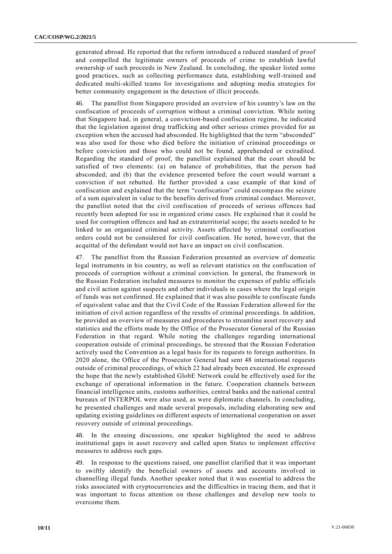generated abroad. He reported that the reform introduced a reduced standard of proof and compelled the legitimate owners of proceeds of crime to establish lawful ownership of such proceeds in New Zealand. In concluding, the speaker listed some good practices, such as collecting performance data, establishing well-trained and dedicated multi-skilled teams for investigations and adopting media strategies for better community engagement in the detection of illicit proceeds.

46. The panellist from Singapore provided an overview of his country's law on the confiscation of proceeds of corruption without a criminal conviction. While noting that Singapore had, in general, a conviction-based confiscation regime, he indicated that the legislation against drug trafficking and other serious crimes provided for an exception when the accused had absconded. He highlighted that the term "absconded" was also used for those who died before the initiation of criminal proceedings or before conviction and those who could not be found, apprehended or extradited. Regarding the standard of proof, the panellist explained that the court should be satisfied of two elements: (a) on balance of probabilities, that the person had absconded; and (b) that the evidence presented before the court would warrant a conviction if not rebutted. He further provided a case example of that kind of confiscation and explained that the term "confiscation" could encompass the seizure of a sum equivalent in value to the benefits derived from criminal conduct. Moreover, the panellist noted that the civil confiscation of proceeds of serious offences had recently been adopted for use in organized crime cases. He explained that it could be used for corruption offences and had an extraterritorial scope; the assets needed to be linked to an organized criminal activity. Assets affected by criminal confiscation orders could not be considered for civil confiscation. He noted, however, that the acquittal of the defendant would not have an impact on civil confiscation.

47. The panellist from the Russian Federation presented an overview of domestic legal instruments in his country, as well as relevant statistics on the confiscation of proceeds of corruption without a criminal conviction. In general, the framework in the Russian Federation included measures to monitor the expenses of public officials and civil action against suspects and other individuals in cases where the legal origin of funds was not confirmed. He explained that it was also possible to confiscate funds of equivalent value and that the Civil Code of the Russian Federation allowed for the initiation of civil action regardless of the results of criminal proceedings. In addition, he provided an overview of measures and procedures to streamline asset recovery and statistics and the efforts made by the Office of the Prosecutor General of the Russian Federation in that regard. While noting the challenges regarding international cooperation outside of criminal proceedings, he stressed that the Russian Federation actively used the Convention as a legal basis for its requests to foreign authorities. In 2020 alone, the Office of the Prosecutor General had sent 48 international requests outside of criminal proceedings, of which 22 had already been executed. He expressed the hope that the newly established GlobE Network could be effectively used for the exchange of operational information in the future. Cooperation channels between financial intelligence units, customs authorities, central banks and the national central bureaux of INTERPOL were also used, as were diplomatic channels. In concluding, he presented challenges and made several proposals, including elaborating new and updating existing guidelines on different aspects of international cooperation on asset recovery outside of criminal proceedings.

48. In the ensuing discussions, one speaker highlighted the need to address institutional gaps in asset recovery and called upon States to implement effective measures to address such gaps.

49. In response to the questions raised, one panellist clarified that it was important to swiftly identify the beneficial owners of assets and accounts involved in channelling illegal funds. Another speaker noted that it was essential to address the risks associated with cryptocurrencies and the difficulties in tracing them, and that it was important to focus attention on those challenges and develop new tools to overcome them.